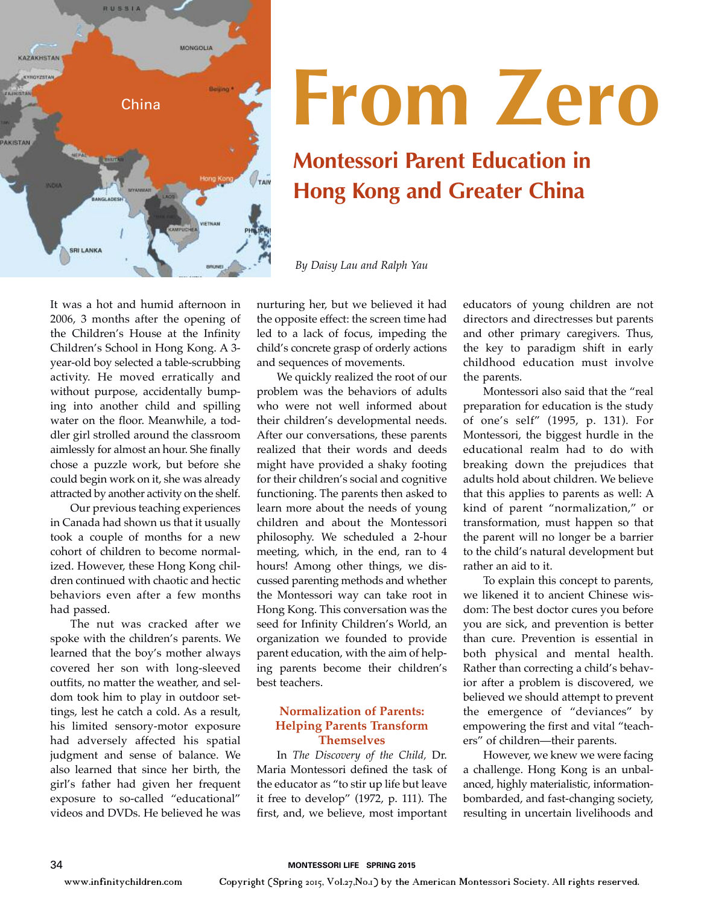

## **From Zero**

### **Montessori Parent Education in Hong Kong and Greater China**

*By Daisy Lau and Ralph Yau*

It was a hot and humid afternoon in 2006, 3 months after the opening of the Children's House at the Infinity Children's School in Hong Kong. A 3 year-old boy selected a table-scrubbing activity. He moved erratically and without purpose, accidentally bumping into another child and spilling water on the floor. Meanwhile, a toddler girl strolled around the classroom aimlessly for almost an hour. She finally chose a puzzle work, but before she could begin work on it, she was already attracted by another activity on the shelf.

Our previous teaching experiences in Canada had shown us that it usually took a couple of months for a new cohort of children to become normalized. However, these Hong Kong children continued with chaotic and hectic behaviors even after a few months had passed.

The nut was cracked after we spoke with the children's parents. We learned that the boy's mother always covered her son with long-sleeved outfits, no matter the weather, and seldom took him to play in outdoor settings, lest he catch a cold. As a result, his limited sensory-motor exposure had adversely affected his spatial judgment and sense of balance. We also learned that since her birth, the girl's father had given her frequent exposure to so-called "educational" videos and DVDs. He believed he was nurturing her, but we believed it had the opposite effect: the screen time had led to a lack of focus, impeding the child's concrete grasp of orderly actions and sequences of movements.

We quickly realized the root of our problem was the behaviors of adults who were not well informed about their children's developmental needs. After our conversations, these parents realized that their words and deeds might have provided a shaky footing for their children's social and cognitive functioning. The parents then asked to learn more about the needs of young children and about the Montessori philosophy. We scheduled a 2-hour meeting, which, in the end, ran to 4 hours! Among other things, we discussed parenting methods and whether the Montessori way can take root in Hong Kong. This conversation was the seed for Infinity Children's World, an organization we founded to provide parent education, with the aim of helping parents become their children's best teachers.

#### **Normalization of Parents: Helping Parents Transform Themselves**

In *The Discovery of the Child,* Dr. Maria Montessori defined the task of the educator as "to stir up life but leave it free to develop" (1972, p. 111). The first, and, we believe, most important

educators of young children are not directors and directresses but parents and other primary caregivers. Thus, the key to paradigm shift in early childhood education must involve the parents.

Montessori also said that the "real preparation for education is the study of one's self" (1995, p. 131). For Montessori, the biggest hurdle in the educational realm had to do with breaking down the prejudices that adults hold about children. We believe that this applies to parents as well: A kind of parent "normalization," or transformation, must happen so that the parent will no longer be a barrier to the child's natural development but rather an aid to it.

To explain this concept to parents, we likened it to ancient Chinese wisdom: The best doctor cures you before you are sick, and prevention is better than cure. Prevention is essential in both physical and mental health. Rather than correcting a child's behavior after a problem is discovered, we believed we should attempt to prevent the emergence of "deviances" by empowering the first and vital "teachers" of children—their parents.

However, we knew we were facing a challenge. Hong Kong is an unbalanced, highly materialistic, informationbombarded, and fast-changing society, resulting in uncertain livelihoods and

www.infinitychildren.com Copyright (Spring 2015, Vol.27,No.1) by the American Montessori Society. All rights reserved.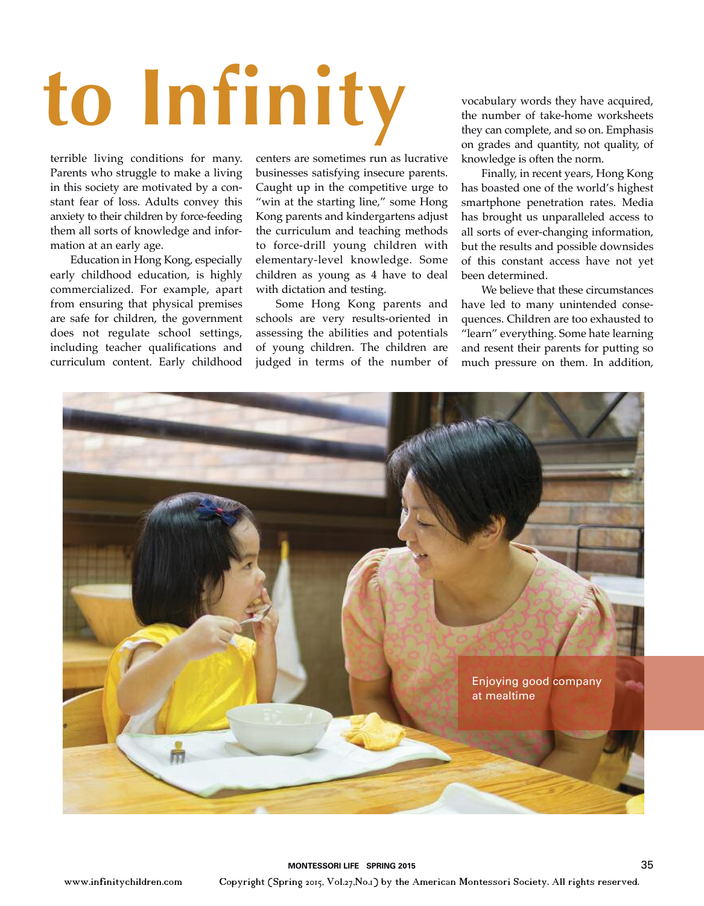# **to Infinity**

terrible living conditions for many. Parents who struggle to make a living in this society are motivated by a constant fear of loss. Adults convey this anxiety to their children by force-feeding them all sorts of knowledge and information at an early age.

Education in Hong Kong, especially early childhood education, is highly commercialized. For example, apart from ensuring that physical premises are safe for children, the government does not regulate school settings, including teacher qualifications and curriculum content. Early childhood

centers are sometimes run as lucrative businesses satisfying insecure parents. Caught up in the competitive urge to "win at the starting line," some Hong Kong parents and kindergartens adjust the curriculum and teaching methods to force-drill young children with elementary-level knowledge. Some children as young as 4 have to deal with dictation and testing.

Some Hong Kong parents and schools are very results-oriented in assessing the abilities and potentials of young children. The children are judged in terms of the number of

vocabulary words they have acquired, the number of take-home worksheets they can complete, and so on. Emphasis on grades and quantity, not quality, of knowledge is often the norm.

Finally, in recent years, Hong Kong has boasted one of the world's highest smartphone penetration rates. Media has brought us unparalleled access to all sorts of ever-changing information, but the results and possible downsides of this constant access have not yet been determined.

We believe that these circumstances have led to many unintended consequences. Children are too exhausted to "learn" everything. Some hate learning and resent their parents for putting so much pressure on them. In addition,



www.infinitychildren.com Copyright (Spring 2015, Vol.27,No.1) by the American Montessori Society. All rights reserved.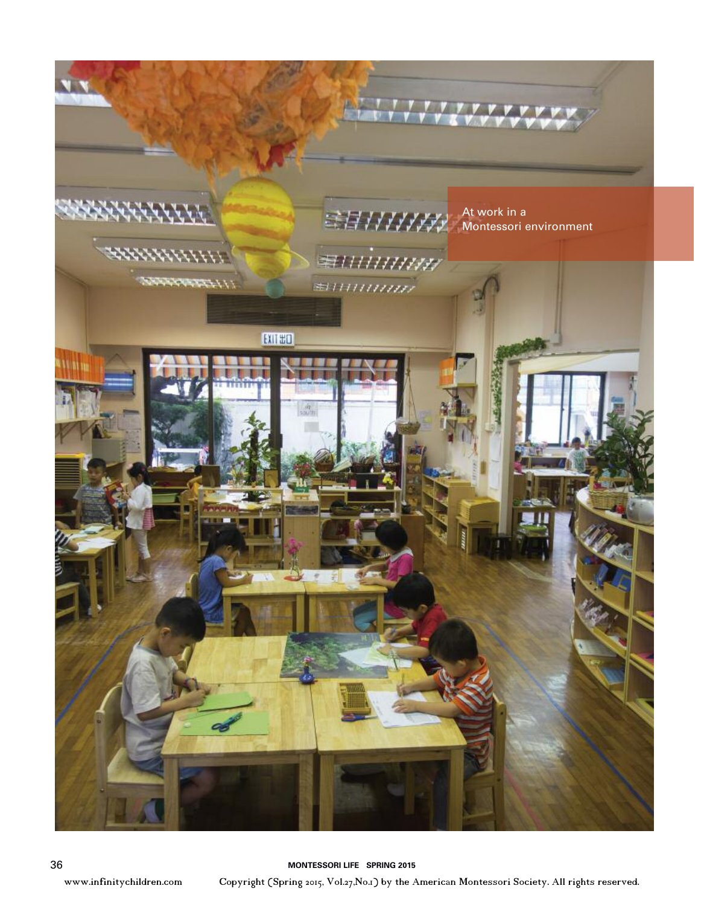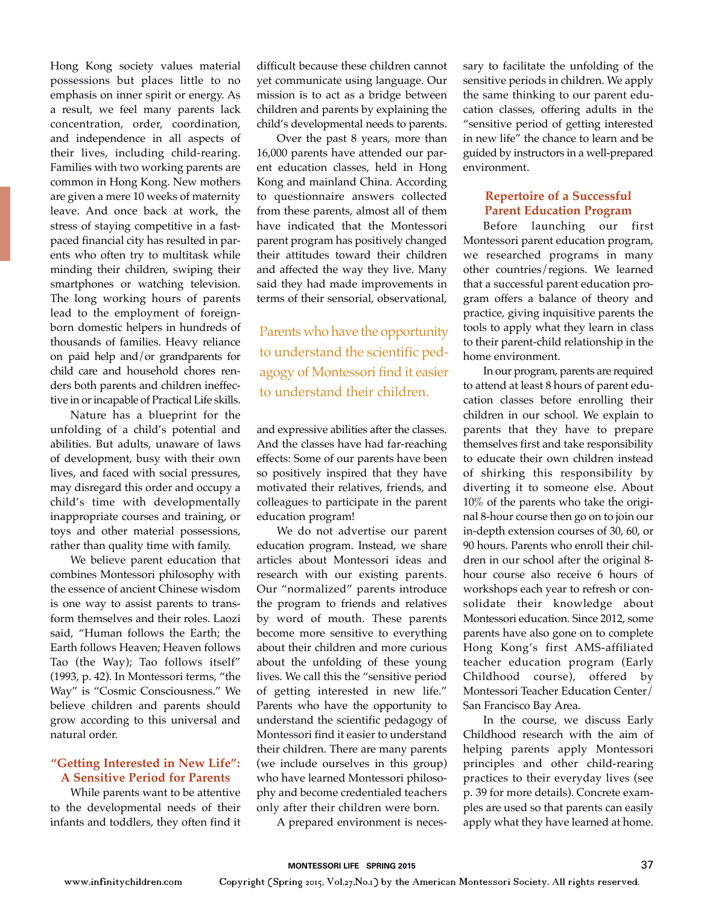Hong Kong society values material possessions but places little to no emphasis on inner spirit or energy. As a result, we feel many parents lack concentration, order, coordination, and independence in all aspects of their lives, including child-rearing. Families with two working parents are common in Hong Kong. New mothers are given a mere 10 weeks of maternity leave. And once back at work, the stress of staying competitive in a fastpaced financial city has resulted in parents who often try to multitask while minding their children, swiping their smartphones or watching television. The long working hours of parents lead to the employment of foreignborn domestic helpers in hundreds of thousands of families. Heavy reliance on paid help and/or grandparents for child care and household chores renders both parents and children ineffective in or incapable of Practical Life skills.

Nature has a blueprint for the unfolding of a child's potential and abilities. But adults, unaware of laws of development, busy with their own lives, and faced with social pressures, may disregard this order and occupy a child's time with developmentally inappropriate courses and training, or toys and other material possessions, rather than quality time with family.

We believe parent education that combines Montessori philosophy with the essence of ancient Chinese wisdom is one way to assist parents to transform themselves and their roles. Laozi said, "Human follows the Earth; the Earth follows Heaven; Heaven follows Tao (the Way); Tao follows itself" (1993, p. 42). In Montessori terms, "the Way" is "Cosmic Consciousness." We believe children and parents should grow according to this universal and natural order.

#### **"Getting Interested in New Life": A Sensitive Period for Parents**

 While parents want to be attentive to the developmental needs of their infants and toddlers, they often find it

difficult because these children cannot yet communicate using language. Our mission is to act as a bridge between children and parents by explaining the child's developmental needs to parents.

Over the past 8 years, more than 16,000 parents have attended our parent education classes, held in Hong Kong and mainland China. According to questionnaire answers collected from these parents, almost all of them have indicated that the Montessori parent program has positively changed their attitudes toward their children and affected the way they live. Many said they had made improvements in terms of their sensorial, observational,

Parents who have the opportunity to understand the scientific pedagogy of Montessori find it easier to understand their children.

and expressive abilities after the classes. And the classes have had far-reaching effects: Some of our parents have been so positively inspired that they have motivated their relatives, friends, and colleagues to participate in the parent education program!

We do not advertise our parent education program. Instead, we share articles about Montessori ideas and research with our existing parents. Our "normalized" parents introduce the program to friends and relatives by word of mouth. These parents become more sensitive to everything about their children and more curious about the unfolding of these young lives. We call this the "sensitive period of getting interested in new life." Parents who have the opportunity to understand the scientific pedagogy of Montessori find it easier to understand their children. There are many parents (we include ourselves in this group) who have learned Montessori philosophy and become credentialed teachers only after their children were born.

A prepared environment is neces-

sary to facilitate the unfolding of the sensitive periods in children. We apply the same thinking to our parent education classes, offering adults in the "sensitive period of getting interested in new life" the chance to learn and be guided by instructors in a well-prepared environment.

#### **Repertoire of a Successful Parent Education Program**

Before launching our first Montessori parent education program, we researched programs in many other countries/regions. We learned that a successful parent education program offers a balance of theory and practice, giving inquisitive parents the tools to apply what they learn in class to their parent-child relationship in the home environment.

In our program, parents are required to attend at least 8 hours of parent education classes before enrolling their children in our school. We explain to parents that they have to prepare themselves first and take responsibility to educate their own children instead of shirking this responsibility by diverting it to someone else. About 10% of the parents who take the original 8-hour course then go on to join our in-depth extension courses of 30, 60, or 90 hours. Parents who enroll their children in our school after the original 8 hour course also receive 6 hours of workshops each year to refresh or consolidate their knowledge about Montessori education. Since 2012, some parents have also gone on to complete Hong Kong's first AMS-affiliated teacher education program (Early Childhood course), offered by Montessori Teacher Education Center/ San Francisco Bay Area.

In the course, we discuss Early Childhood research with the aim of helping parents apply Montessori principles and other child-rearing practices to their everyday lives (see p. 39 for more details). Concrete examples are used so that parents can easily apply what they have learned at home.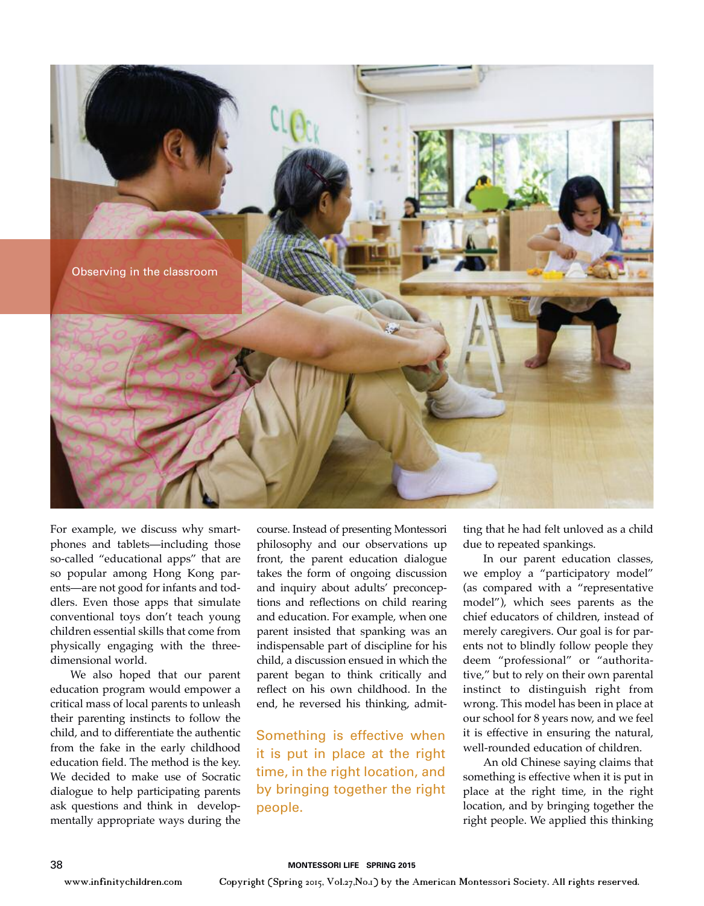

For example, we discuss why smartphones and tablets—including those so-called "educational apps" that are so popular among Hong Kong parents—are not good for infants and toddlers. Even those apps that simulate conventional toys don't teach young children essential skills that come from physically engaging with the threedimensional world.

We also hoped that our parent education program would empower a critical mass of local parents to unleash their parenting instincts to follow the child, and to differentiate the authentic from the fake in the early childhood education field. The method is the key. We decided to make use of Socratic dialogue to help participating parents ask questions and think in developmentally appropriate ways during the

course. Instead of presenting Montessori philosophy and our observations up front, the parent education dialogue takes the form of ongoing discussion and inquiry about adults' preconceptions and reflections on child rearing and education. For example, when one parent insisted that spanking was an indispensable part of discipline for his child, a discussion ensued in which the parent began to think critically and reflect on his own childhood. In the end, he reversed his thinking, admit-

Something is effective when it is put in place at the right time, in the right location, and by bringing together the right people.

ting that he had felt unloved as a child due to repeated spankings.

In our parent education classes, we employ a "participatory model" (as compared with a "representative model"), which sees parents as the chief educators of children, instead of merely caregivers. Our goal is for parents not to blindly follow people they deem "professional" or "authoritative," but to rely on their own parental instinct to distinguish right from wrong. This model has been in place at our school for 8 years now, and we feel it is effective in ensuring the natural, well-rounded education of children.

An old Chinese saying claims that something is effective when it is put in place at the right time, in the right location, and by bringing together the right people. We applied this thinking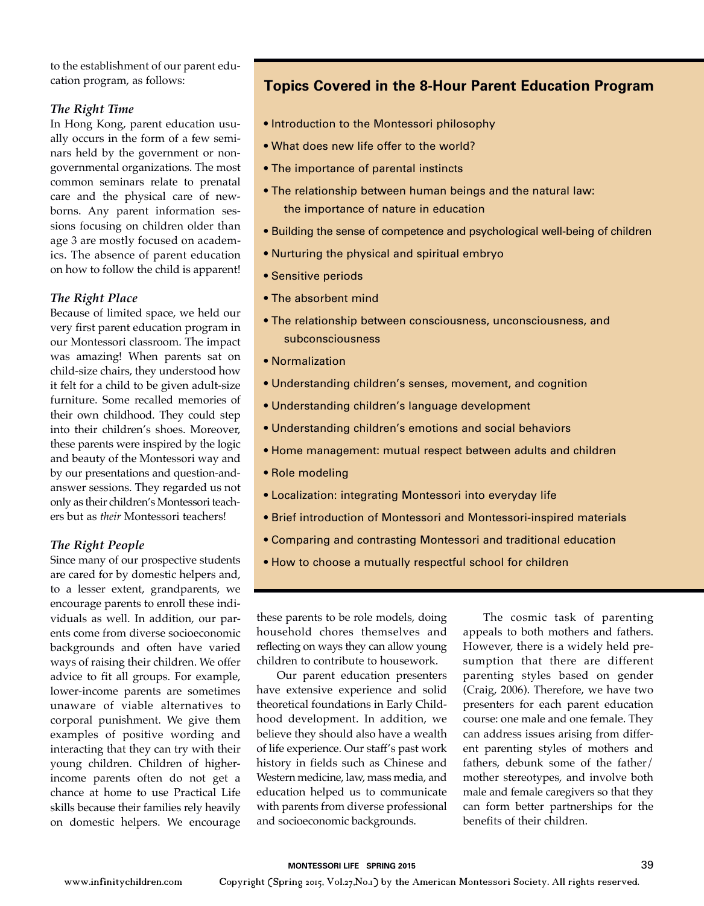to the establishment of our parent education program, as follows:

#### *The Right Time*

In Hong Kong, parent education usually occurs in the form of a few seminars held by the government or nongovernmental organizations. The most common seminars relate to prenatal care and the physical care of newborns. Any parent information sessions focusing on children older than age 3 are mostly focused on academics. The absence of parent education on how to follow the child is apparent!

#### *The Right Place*

Because of limited space, we held our very first parent education program in our Montessori classroom. The impact was amazing! When parents sat on child-size chairs, they understood how it felt for a child to be given adult-size furniture. Some recalled memories of their own childhood. They could step into their children's shoes. Moreover, these parents were inspired by the logic and beauty of the Montessori way and by our presentations and question-andanswer sessions. They regarded us not only as their children's Montessori teachers but as *their* Montessori teachers!

#### *The Right People*

Since many of our prospective students are cared for by domestic helpers and, to a lesser extent, grandparents, we encourage parents to enroll these individuals as well. In addition, our parents come from diverse socioeconomic backgrounds and often have varied ways of raising their children. We offer advice to fit all groups. For example, lower-income parents are sometimes unaware of viable alternatives to corporal punishment. We give them examples of positive wording and interacting that they can try with their young children. Children of higherincome parents often do not get a chance at home to use Practical Life skills because their families rely heavily on domestic helpers. We encourage

#### **Topics Covered in the 8-Hour Parent Education Program**

- Introduction to the Montessori philosophy
- What does new life offer to the world?
- The importance of parental instincts
- The relationship between human beings and the natural law: the importance of nature in education
- Building the sense of competence and psychological well-being of children
- Nurturing the physical and spiritual embryo
- Sensitive periods
- The absorbent mind
- The relationship between consciousness, unconsciousness, and subconsciousness
- Normalization
- Understanding children's senses, movement, and cognition
- Understanding children's language development
- Understanding children's emotions and social behaviors
- Home management: mutual respect between adults and children
- Role modeling
- Localization: integrating Montessori into everyday life
- Brief introduction of Montessori and Montessori-inspired materials
- Comparing and contrasting Montessori and traditional education
- How to choose a mutually respectful school for children

these parents to be role models, doing household chores themselves and reflecting on ways they can allow young children to contribute to housework.

Our parent education presenters have extensive experience and solid theoretical foundations in Early Childhood development. In addition, we believe they should also have a wealth of life experience. Our staff's past work history in fields such as Chinese and Western medicine, law, mass media, and education helped us to communicate with parents from diverse professional and socioeconomic backgrounds.

The cosmic task of parenting appeals to both mothers and fathers. However, there is a widely held presumption that there are different parenting styles based on gender (Craig, 2006). Therefore, we have two presenters for each parent education course: one male and one female. They can address issues arising from different parenting styles of mothers and fathers, debunk some of the father/ mother stereotypes, and involve both male and female caregivers so that they can form better partnerships for the benefits of their children.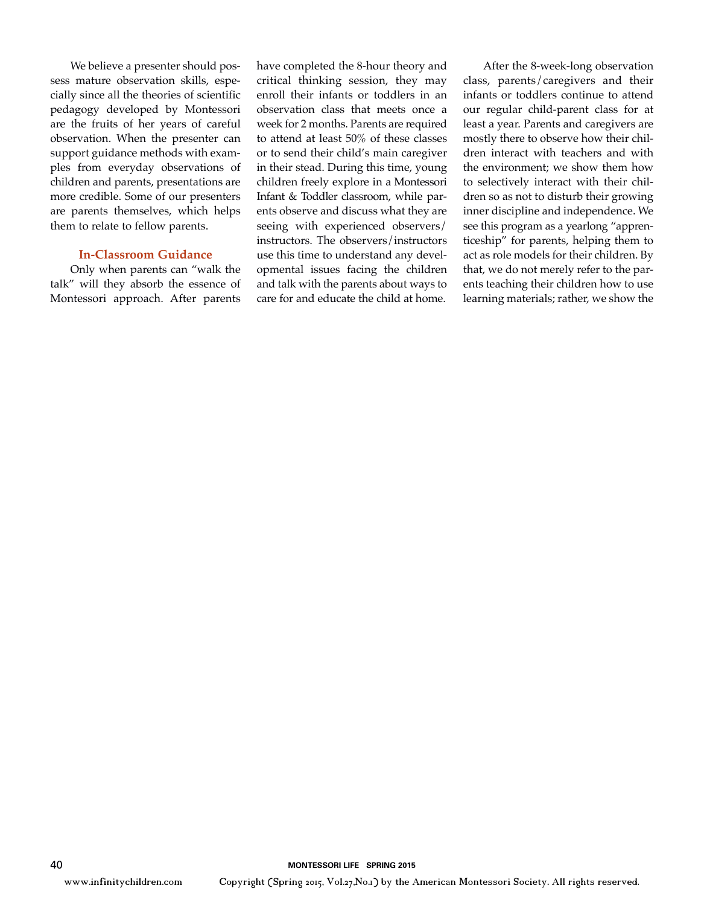We believe a presenter should possess mature observation skills, especially since all the theories of scientific pedagogy developed by Montessori are the fruits of her years of careful observation. When the presenter can support guidance methods with examples from everyday observations of children and parents, presentations are more credible. Some of our presenters are parents themselves, which helps them to relate to fellow parents.

#### **In-Classroom Guidance**

Only when parents can "walk the talk" will they absorb the essence of Montessori approach. After parents have completed the 8-hour theory and critical thinking session, they may enroll their infants or toddlers in an observation class that meets once a week for 2 months. Parents are required to attend at least 50% of these classes or to send their child's main caregiver in their stead. During this time, young children freely explore in a Montessori Infant & Toddler classroom, while parents observe and discuss what they are seeing with experienced observers/ instructors. The observers/instructors use this time to understand any developmental issues facing the children and talk with the parents about ways to care for and educate the child at home.

After the 8-week-long observation class, parents/caregivers and their infants or toddlers continue to attend our regular child-parent class for at least a year. Parents and caregivers are mostly there to observe how their children interact with teachers and with the environment; we show them how to selectively interact with their children so as not to disturb their growing inner discipline and independence. We see this program as a yearlong "apprenticeship" for parents, helping them to act as role models for their children. By that, we do not merely refer to the parents teaching their children how to use learning materials; rather, we show the